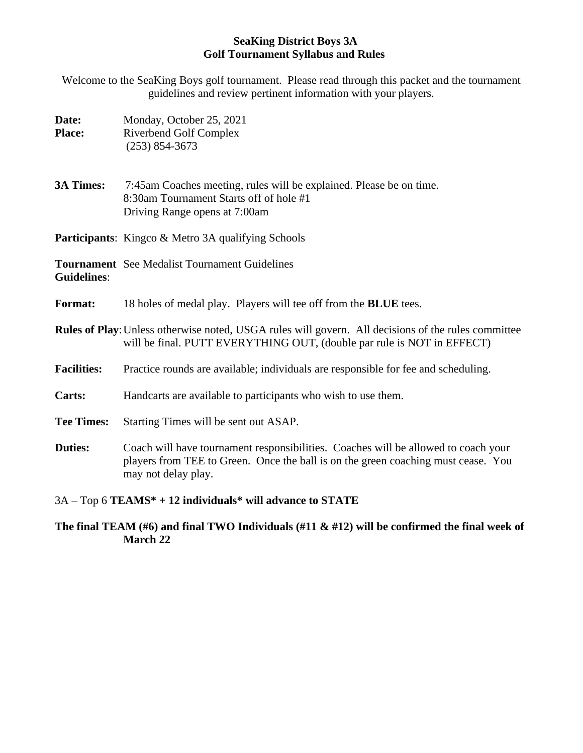## **SeaKing District Boys 3A Golf Tournament Syllabus and Rules**

Welcome to the SeaKing Boys golf tournament. Please read through this packet and the tournament guidelines and review pertinent information with your players.

| Date:<br><b>Place:</b> | Monday, October 25, 2021<br><b>Riverbend Golf Complex</b><br>$(253) 854 - 3673$                                                                                                                |
|------------------------|------------------------------------------------------------------------------------------------------------------------------------------------------------------------------------------------|
| 3A Times:              | 7:45am Coaches meeting, rules will be explained. Please be on time.<br>8:30am Tournament Starts off of hole #1<br>Driving Range opens at 7:00am                                                |
|                        | <b>Participants:</b> Kingco & Metro 3A qualifying Schools                                                                                                                                      |
| <b>Guidelines:</b>     | <b>Tournament</b> See Medalist Tournament Guidelines                                                                                                                                           |
| <b>Format:</b>         | 18 holes of medal play. Players will tee off from the <b>BLUE</b> tees.                                                                                                                        |
|                        | <b>Rules of Play:</b> Unless otherwise noted, USGA rules will govern. All decisions of the rules committee<br>will be final. PUTT EVERYTHING OUT, (double par rule is NOT in EFFECT)           |
| <b>Facilities:</b>     | Practice rounds are available; individuals are responsible for fee and scheduling.                                                                                                             |
| Carts:                 | Handcarts are available to participants who wish to use them.                                                                                                                                  |
| <b>Tee Times:</b>      | Starting Times will be sent out ASAP.                                                                                                                                                          |
| <b>Duties:</b>         | Coach will have tournament responsibilities. Coaches will be allowed to coach your<br>players from TEE to Green. Once the ball is on the green coaching must cease. You<br>may not delay play. |
|                        | $3A - Top 6$ TEAMS* + 12 individuals* will advance to STATE                                                                                                                                    |

**The final TEAM (#6) and final TWO Individuals (#11 & #12) will be confirmed the final week of March 22**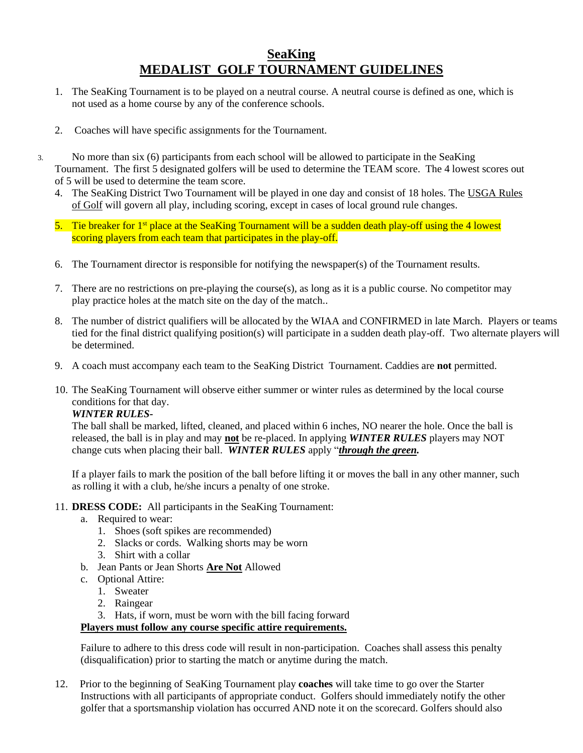# **SeaKing MEDALIST GOLF TOURNAMENT GUIDELINES**

- 1. The SeaKing Tournament is to be played on a neutral course. A neutral course is defined as one, which is not used as a home course by any of the conference schools.
- 2. Coaches will have specific assignments for the Tournament.
- 3. No more than six (6) participants from each school will be allowed to participate in the SeaKing Tournament. The first 5 designated golfers will be used to determine the TEAM score. The 4 lowest scores out of 5 will be used to determine the team score.
	- 4. The SeaKing District Two Tournament will be played in one day and consist of 18 holes. The USGA Rules of Golf will govern all play, including scoring, except in cases of local ground rule changes.
	- 5. Tie breaker for  $1^{st}$  place at the SeaKing Tournament will be a sudden death play-off using the 4 lowest scoring players from each team that participates in the play-off.
	- 6. The Tournament director is responsible for notifying the newspaper(s) of the Tournament results.
	- 7. There are no restrictions on pre-playing the course(s), as long as it is a public course. No competitor may play practice holes at the match site on the day of the match..
	- 8. The number of district qualifiers will be allocated by the WIAA and CONFIRMED in late March. Players or teams tied for the final district qualifying position(s) will participate in a sudden death play-off. Two alternate players will be determined.
	- 9. A coach must accompany each team to the SeaKing District Tournament. Caddies are **not** permitted.
	- 10. The SeaKing Tournament will observe either summer or winter rules as determined by the local course conditions for that day.

```
WINTER RULES-
```
The ball shall be marked, lifted, cleaned, and placed within 6 inches, NO nearer the hole. Once the ball is released, the ball is in play and may **not** be re-placed. In applying *WINTER RULES* players may NOT change cuts when placing their ball. *WINTER RULES* apply "*through the green.*

If a player fails to mark the position of the ball before lifting it or moves the ball in any other manner, such as rolling it with a club, he/she incurs a penalty of one stroke.

- 11. **DRESS CODE:** All participants in the SeaKing Tournament:
	- a. Required to wear:
		- 1. Shoes (soft spikes are recommended)
		- 2. Slacks or cords. Walking shorts may be worn
		- 3. Shirt with a collar
	- b. Jean Pants or Jean Shorts **Are Not** Allowed
	- c. Optional Attire:
		- 1. Sweater
		- 2. Raingear
		- 3. Hats, if worn, must be worn with the bill facing forward

### **Players must follow any course specific attire requirements.**

Failure to adhere to this dress code will result in non-participation. Coaches shall assess this penalty (disqualification) prior to starting the match or anytime during the match.

12. Prior to the beginning of SeaKing Tournament play **coaches** will take time to go over the Starter Instructions with all participants of appropriate conduct. Golfers should immediately notify the other golfer that a sportsmanship violation has occurred AND note it on the scorecard. Golfers should also